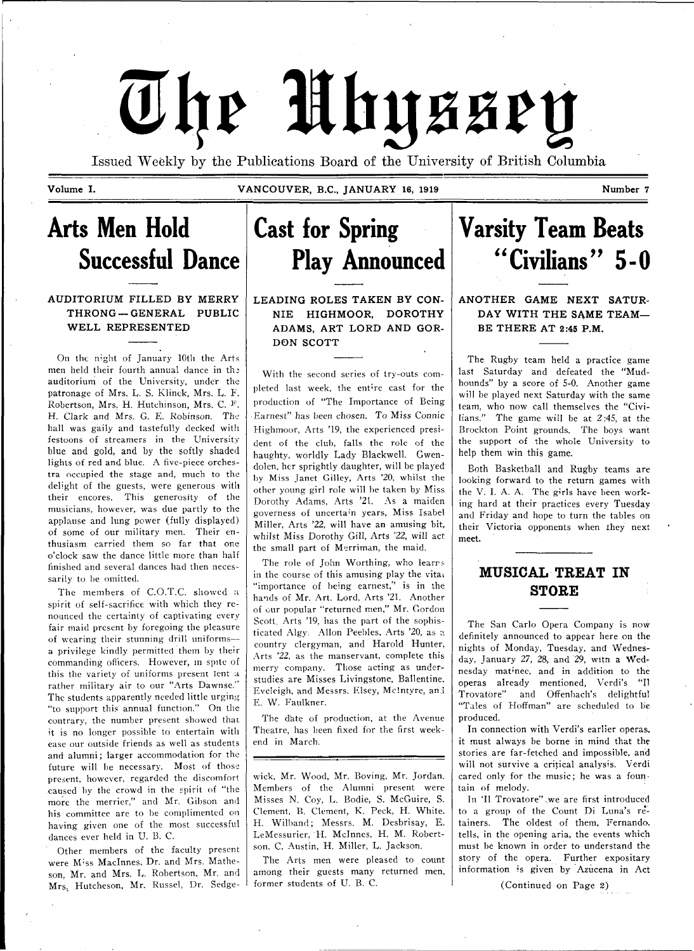# The Mhyssey

Issued Weekly by the Publications Board of the University of British Columbia

**Volume I. VANCOUVER, B.C., JANUARY 16, 1919 Number 7** 

**Arts Men Hold Successful Dance** 

**AUDITORIUM FILLED BY MERRY**  $THRONG - GENERAL$  PUBLIC WELL REPRESENTED

On the night of January 10th the Arts men held their fourth annual dance in the auditorium of the University, under the patronage of Mrs. L. S. Klinck, Mrs. L. F. Robertson, Mrs. H. Hutchinson, Mrs. C. F. H. Clark and Mrs. G. E. Robinson. The hall was gaily and tastefully decked with festoons of streamers in the University blue and gold, and by the softly shaded lights of red and blue. A five-piece orchestra occupied the stage and, much to the delight of the guests, were generous with their encores. This generosity of the musicians, however, was due partly to the applause and lung power (fully displayed) of some of our military men. Their enthusiasm carried them so far that one o'clock saw the dance little more than half finished and several dances had then necessarily to be omitted.

The members of C.O.T.C. showed a spirit of self-sacrifice with which they renounced the certainty of captivating every fair maid present by foregoing the pleasure of wearing their stunning drill uniforms a privilege kindly permitted them by their commanding officers. However, in spite of this the variety of uniforms present lent a rather military air to our "Arts Dawnse/' The students apparently needed little urging "to support this annual function." On the contrary, the number present showed that it is no longer possible to entertain witli ease our outside friends as well as students and alumni; larger accommodation for the future will be necessary. Most of those present, however, regarded the discomfort caused by the crowd in the spirit of "the more the merrier," and Mr. Gibson and his committee are to be complimented on having given one of the most successful dances ever held in U. B. C.

Other members of the faculty present were M; ss Maclnnes, Dr. and Mrs. Matheson, Mr. and Mrs. L. Robertson, Mr. and Mrs, Hutcheson, Mr. Russel, Dr. Sedge-

# **Cast for Spring Play Announced**

**LEADING ROLES TAKEN BY CON-N IE HIGHMOOR, DOROTHY**  ADAMS, ART LORD AND GOR-**D ON SCOTT** 

With the second scries of try-outs completed last week, the ent're cast for the production of "The Importance of Being •Earnest" has been chosen. To Miss Connie Highmoor, Arts '19, the experienced president of the club, falls the role of the haughty, worldly Lady Blackwell. Gwendolen, her sprightly daughter, will be played by Miss Janet Gilley, Arts '20, whilst the other young girl role will be taken by Miss Dorothy Adams, Arts '21. As a maiden governess of uncertain years, Miss Isabel Miller, Arts '22, will have an amusing bit, whilst Miss Dorothy Gill, Arts '22, will act the small part of Merriman, the maid.

The role of John Worthing, who learrs in the course of this amusing play the vitai "importance of being earnest," is in the hands of Mr. Art. Lord, Arts '21. Another of our popular "returned men," Mr. Gordon Scott, Arts '19, has the part of the sophisticated Algy. Allon Peebles, Arts '20, as a country clergyman, and Harold Hunter, Arts '22, as the manservant, complete this merry company. Those acting as understudies are Misses Livingstone, Ballentine. Eveleigh, and Messrs. Elsey, Mclntyre, ana E. W. Faulkner.

The date of production, at the Avenue Theatre, has been fixed for the first weekend in March.

wick, Mr. Wood, Mr. Boving. Mr. Jordan. Members of the Alumni present were Misses N, Coy, L. Bodie, S. McGuire, S. Clement, B. Clement, K. Peck, H. White, H. Wilband; Messrs. M. Desbrisay, E. LeMessurier, H. Mclnnes, H. M. Robertson, C. Austin, H. Miller, L. Jackson.

The Arts men were pleased to count among their guests many returned men, former students of U. B. C.

**Varsity Team Beats "Civilians" 5-0** 

**ANOTHER GAME NEXT SATUR-DAY WITH THE SAME TEAM-BE THERE AT 2:45 P.M.** 

The Rugby team held a practice game last Saturday and defeated the "Mudhounds" by a score of 5-0. Another game will be played next Saturday with the same team, who now call themselves the "Civilians." The game will be at 2:45, at the Brockton Point grounds. The boys want the support of the whole University to help them win this game.

Both Basketball and Rugby teams are looking forward to the return games with the V. I. A. A. The girls have been working hard at their practices every Tuesday and Friday and hope to turn the tables on their Victoria opponents when they next meet.

# **MUSICAL TREAT IN STORE**

The San Carlo Opera Company is now definitely announced to appear here on the nights of Monday, Tuesday, and Wednesday, January 27, 28, and 29, witn a Wednesday matinee, and in addition to the operas already mentioned, Verdi's "II Trovatbre" and Offenbach's delightful "Tales of Hoffman" are scheduled to be produced.

In connection with Verdi's earlier operas, it must always be borne in mind that the stories are far-fetched and impossible, and will not survive a critical analysis. Verdi cared only for the music; he was a fountain of melody.

In 'Il Trovatore" , we are first introduced to a group of the Count Di Luna's retainers. The oldest of them, Fernando, tells, in the opening aria, the events which must he known in order to understand the story of the opera. Further expositary information is given by Azucena in Act

(Continued on Page 2)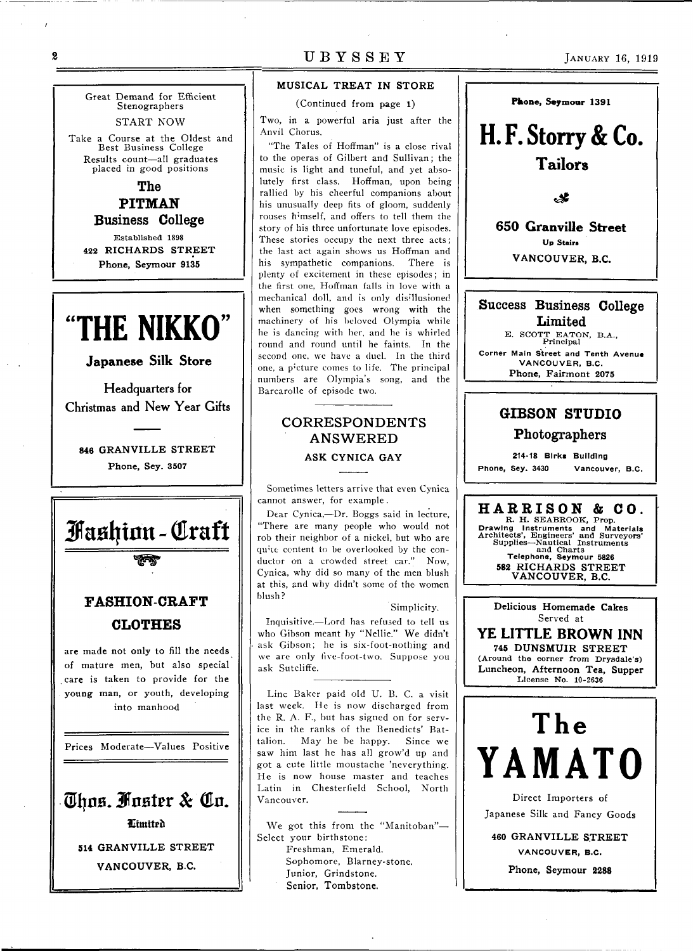### $\boldsymbol{2}$

UBYSSEY JANUARY 16, 1919

Great Demand for Efficient Stenographers START NOW Take a Course at the Oldest and Best Business College Results count—all graduates placed in good positions **The** 

**PITMAN Business College**  Established 1898 **422 RICHARDS STREET Phone, Seymour 9135** 

# "THE NIKKO"

**Japanese Silk Store** 

Headquarters for Christmas and New Year Gifts

**846 GRANVILLE STREET Phone, Sey. 3507** 



Prices Moderate—Values Positive

Thus. Fuster & Cu. Htmitrfi **514 GRANVILLE STREET VANCOUVER, B.C.** 

### **MUSICAL TREAT IN STORE**

(Continued from page 1)

Two, in a powerful aria just after the Anvil Chorus.

"The Tales of Hoffman" is a close rival to the operas of Gilbert and Sullivan; the music is light and tuneful, and yet absolutely first class. Hoffman, upon being rallied by his cheerful companions about his unusually deep fits of gloom, suddenly rouses h'mself, and offers to tell them the story of his three unfortunate love episodes. These stories occupy the next three acts; the last act again shows us Hoffman and his sympathetic companions. There is plenty of excitement in these episodes; in the first one, Hoffman falls in love with a mechanical doll, and is only disillusioned when something goes wrong with the machinery of his beloved Olympia while he is dancing with her, and he is whirled round and round until he faints. In the second one. we have a duel. In the third one, a p'cture comes to life. The principal numbers are Olympia's song, and the Barcarolle of episode two.

# CORRESPONDENTS ANSWERED **ASK CYNICA GAY**

Sometimes letters arrive that even Cynica cannot answer, for example .

Dear Cynica,—Dr. Boggs said in lecture, "There are many people who would not rob their neighbor of a nickel, but who are quite content to be overlooked by the conductor on a crowded street car." Now, Cynica, why did so many of the men blush at this, and why didn't some of the women blush?

Simplicity.

Inquisitive.—Lord has refused to tell us who Gibson meant by "Nellie." We didn't ask Gibson; he is six-foot-nothing and we arc only five-foot-two. Suppose you ask Sutcliffe.

Line Baker paid old U. B. C. a visit last week. He is now discharged from the R. A. F., but has signed on for service in the ranks of the Benedicts' Battalion. May he be happy. Since we saw him last he has all grow'd up and got a cute little moustache 'neverything. He is now house master and teaches Latin in Chesterfield School, North Vancouver.

We got this from the "Manitoban"-Select your birthstone: Freshman, Emerald. Sophomore, Blarney-stone. Junior, Grindstone. Senior, Tombstone.



**H. F. Storry & Co. Tailors** 

**اير.** 

**650 Granville Street Up Stairs** VANCOUVER, B.C.

> **Up Stairs VANCOUVER, B.C.**

Success Business **College Limited B. SCOTT BATON, Principal B.A.,** 

**Corner Main Street and Tenth Avenue VANCOUVER, B.C.** 

Phone, Fairmont **2075** 

# **GIBSON STUDIO Photographers**

**214-18 Blrkt Building Phone, Sey. 3430 Vancouver, B.C.** 

**HARRISO N & CO.**  R. H. SBABROOK, Prop.

**Drawing Instruments and Materials**  Architects', Engineers' and Surveyors' Supplies—Nautical Instruments and Charts **Telephone, Seymour 5826 583 RICHARDS STREET VANCOUVER, B.C.** 

**Delicious Homemade Cakes**  Served at

**YE LITTLE BROWN INN 745 DUNSMUIR STREET** (Around the corner from Drysdale's) **Luncheon, Afternoon Tea, Supper**  License No. 10-2636

# The **YAMAT0**

Direct Importers of Japanese Silk and Fancy Goods

**460 GRANVILLE STREET VANCOUVER, B.C.** 

Phone, Seymour 2288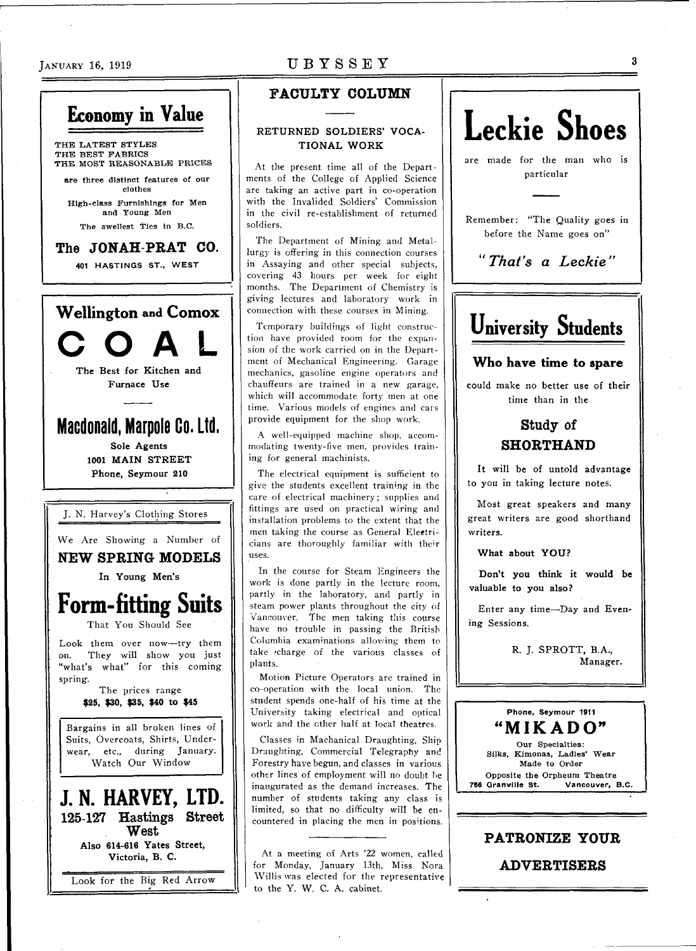# **Economy in Value**

THE LATEST STYLES THE BEST FABRICS THE MOST REASONABLE PRICES **are** three distinct features of our

clothes High-class Furnishings for Men and Young Men

The swellest Ties in B.C.

# The **JONAH PRAT CO.**

**401 HASTINGS ST., WEST** 



# $J_{\rm ANUARY}$  16, 1919 UBYSSEY

# **FACULTY COLUMN**

# **RETURNED SOLDIERS' VOCA-TIONAL WORK**

At the present time all of the Departments of the College of Applied Science are taking an active part in co-operation with the Invalided Soldiers' Commission in the civil re-establishment of returned soldiers.

The Department of Mining and Metallurgy is offering in this connection courses in Assaying and other special subjects, covering 43 hours per week for eight months. The Department of Chemistry is giving lectures and laboratory work in connection with these courses in Mining.

Temporary buildings of light construction have provided room for the expansion of the work carried on in the Department of Mechanical Engineering. Garage mechanics, gasoline engine operators and chauffeurs are trained in a new garage, which will accommodate forty men at one time. Various models of engines and cars provide equipment for the shop work.

A well-equipped machine shop, accommodating twenty-five men, provides training for general machinists.

The electrical equipment is sufficient to give the students excellent training in the care of electrical machinery; supplies and fittings are used on practical wiring and installation problems to the extent that the men taking the course as General Eleetricians are thoroughly familiar with their uses.

In the course for Steam Engineers the work is done partly in the lecture room, partly in the laboratory, and partly in steam power plants throughout the city of Vancouver. The men taking this course have no trouble in passing the British Columbia examinations allowing them to take 'charge of the various classes of plants.

Motion Picture Operators are trained in co-operation with the local union. The student spends one-half of his time at the University taking electrical and optical work and the ether half at local theatres.

Classes in Machanical Draughting, Ship Draughting, Commercial Telegraphy and Forestry have begun, and classes in various other lines of employment will no doubt he inaugurated as the demand increases. The number of students taking any class is limited, so that no difficulty will be encountered in placing the men in positions.

At a meeting of Arts '22 women, called for Monday, January 13th, Miss Nora Willis was elected for the representative to the Y. W. C. A. cabinet.

# **Leckie Shoes**

are made for the man who is particular

Remember: "The Quality goes in before the Name goes on"

*"That's a Leckie"* 

# **University Students**

# **Who have time to spare**

could make no better use of their time than in the

# Study **of SHORTHAND**

It will be of untold advantage to you in taking lecture notes.

Most great speakers and many great writers are good shorthand writers.

**What about YOU?** 

**Don't you think it would be valuable to you also?** 

Enter any time-Day and Evening Sessions.

> R. J. SPROTT, B.A., Manager.

# **Phone, Seymour 1911 "MIKADO"**

Our Specialties: Silks, Kimonas, Ladles' Wear Made to Order Opposite the Orpheum Theatre<br>766 Granville St. Vancouver. Vancouver, B.C.

# **PATRONIZE YOUR**

**ADVERTISERS**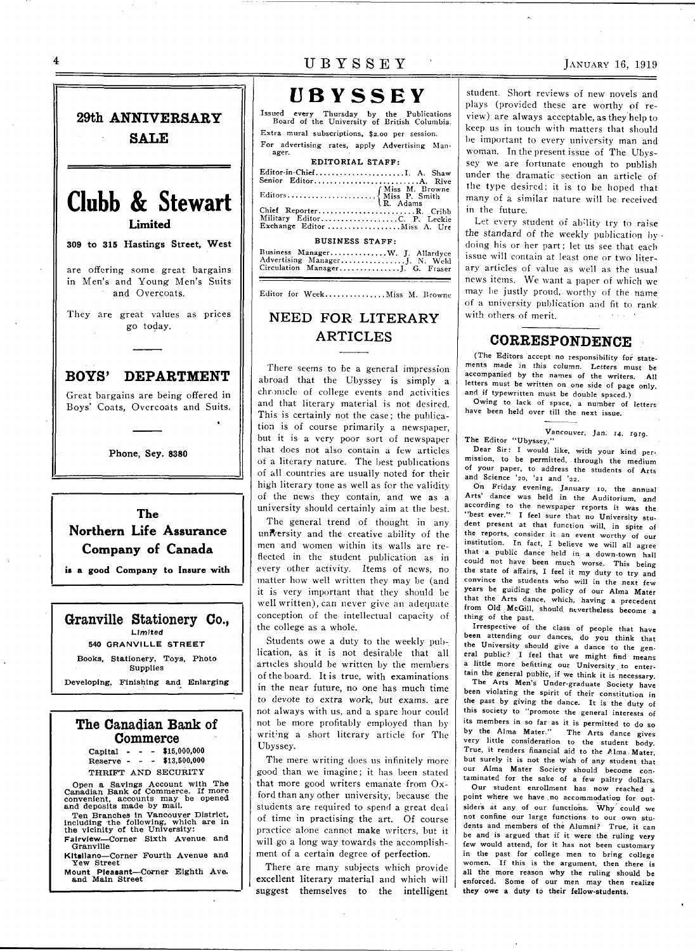29th **ANNIVERSARY SALE Clubb & Stewart Limited 309 to 315 Hastings Street, West**  are offering some great bargains in Men's and Young Men's Suits and Overcoats. They are great values as prices go today. **BOYS' DEPARTMENT**  Great bargains are being offered in Boys' Coats, Overcoats and Suits. **Phone, Sey. 8380 The Northern Life Assurance Company of Canada is a good Company to Insure with** 



# **The Canadian Bank of Commerce**

Capital - - - \$15,000,000 Reserve - - - \*13,500,000 THRIFT AND SECURITY

Open a Savings Account with The<br>Canadian Bank of Commerce. If more<br>convenient, accounts may be opened<br>and deposits made by mail.

Ten Branches in Vancouver District,<br>including the following, which are in

the vicinity of the University:<br>Fairview—Corner Sixth Avenue and<br>Granville

Kitsilano—Corner Fourth Avenue and<br>Yew Street

Mount Pleasant—Corner Eighth Ave.<br>and Main Street

# $\overline{U}$  B Y S S E Y  $\overline{Y}$  JANUARY 16, 1919

# **UBYSSEY**

Issued every Thursday by the Publications Board of the University of British Columbia. Extra mural subscriptions, \$2.00 per session. For advertising rates, apply Advertising Man-ager.

| EDITORIAL STAFF:             |  |  |  |  |
|------------------------------|--|--|--|--|
| Editor-in-Chief A. Shaw      |  |  |  |  |
|                              |  |  |  |  |
|                              |  |  |  |  |
|                              |  |  |  |  |
| Military EditorC. P. Leckie  |  |  |  |  |
| Exchange Editor  Miss A. Ure |  |  |  |  |
| <b>BUSINESS STAFF:</b>       |  |  |  |  |

| Business Manager W. J. Allardyce |  |  |
|----------------------------------|--|--|
| Advertising ManagerJ. N. Weld    |  |  |
| Circulation Manager J. G. Fraser |  |  |
|                                  |  |  |

Editor for Week................ Miss M. Browne

# NEED FOR LITERARY ARTICLES

There seems to be a general impression abroad that the Ubyssey is simply a chronicle of college events and activities and that literary material is not desired. This is certainly not the case; the publication is of course primarily a newspaper, but it is a very poor sort of newspaper that does not also contain a few articles of a literary nature. The best publications of all countries are usually noted for their high literary tone as well as for the validity of the news they contain, and we as a university should certainly aim at the best.

The general trend of thought in any university and the creative ability of the men and women within its walls are reflected in the student publication as in every other activity. Items of news, no matter how well written they may be (and it is very important that they should be well written), can never give an adequate, conception of the intellectual capacity of the college as a whole.

Students owe a duty to the weekly publication, as it is not desirable that all articles should be written by the members of the board. It is true, with examinations in the near future, no one has much time to devote to extra work, but exams, are not always with us, and a spare hour could not be more profitably employed than by writing a short literary article for The Ubyssey.

The mere writing does us infinitely more good than we imagine; it has been stated that more good writers emanate from Oxford than any other university, because the students are required to spend a great deal of time in practising the art. Of course practice alone cannot make writers, but it will go a long way towards the accomplishment of a certain degree of perfection.

There are many subjects which provide excellent literary material and which will suggest themselves to the intelligent

student. Short reviews of new novels and plays (provided these are worthy of review) are always acceptable, as they help to keep us in touch with matters that should lie important to every university man and woman. In the present issue of The Ubyssey we are fortunate enough to publish under the dramatic section an article of the type desired: it is to be hoped that many of a similar nature will be received in the future.

Let every student of ability try to raise the standard of the weekly publication by doing his or her part; let us see that each issue will contain at least one or two literary articles of value as well as the usual news items. We want a paper of which we may be justly proud,, worthy of the name of a university publication and fit to rank with others of merit.

# **CORRESPONDENCE**

(The Editors accept no responsibility for statements made in this column. Letters must be accompanied by the names of the writers. All letters must be written on one side of page only, and if typewritten must be double spaced.)

Owing to lack of space, a number of letters have been held over till the next issue.

Vancouver, Jan. 14, 1919.

The Editor "Ubyssey," Dear Sir: I would like, with your kind permission, to be permitted, through the medium of your paper, to address the students of Arts and Science '20, '21 and '22.

On Friday evening, January 10, the annual Arts' dance was held in the Auditorium, and according to the newspaper reports it was the "best ever." I feel sure that no University student present at that function will, in spite of the reports, consider it an event worthy of our institution. In fact, I believe we will all agree that a public dance held in a down-town hall could not have been much worse. This being the state of affairs, I feel it my duty to try and convince the students who will in the next few years be guiding the policy of our Alma Mater that the Arts dance, which, having a precedent from Old McGill, should nevertheless become a thing of the past.

Irrespective of the class of people that have been attending our dances, do you think that the University should give a dance to the general public? I feel that we might find means a little more befitting our University to entertain the general public, if we think it is necessary.

The Arts Men's Under-graduate Society have been violating the spirit of their constitution in the past by giving the dance. It is the duty of this society to "promote the general interests of its members in so far as it is permitted to do so by the Alma Mater." The Arts dance gives very little consideration to the student body. True, it renders financial aid to the Alma. Mater, but surely it is not the wish of any student that our Alma Mater Society should become contaminated for the sake of a few paltry dollars.

Our student enrollment has now reached a point where we [have.no a](http://have.no)ccommodation for outsiders at any of our functions. Why could we not confine our large functions to our own students and members of the Alumni? True, it can be and is argued that if it were the ruling very few would attend, for it has not been customary in the past for college men to bring college women. If this is the argument, then there is all the more reason why the ruling should be enforced. Some of our men may then realize they owe a duty to their fellow-students.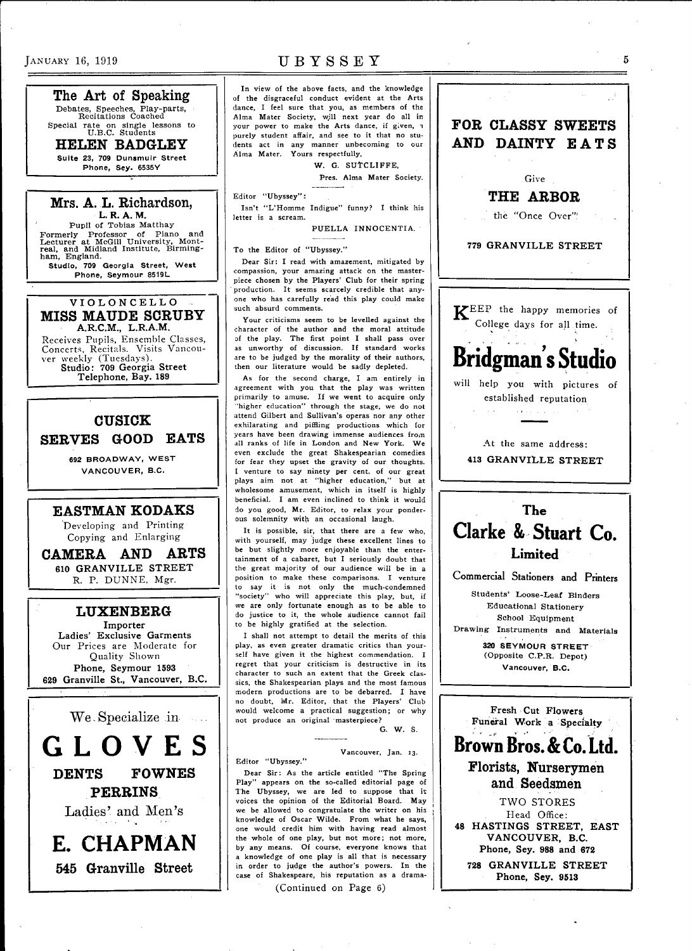The Art of Speaking Debates, Speeches, Play-parts, Recitations Coached

Special rate on single lessons to<br>U.B.C. Students<br>  $\frac{1}{2}$  =  $\frac{1}{2}$  =  $\frac{1}{2}$  =  $\frac{1}{2}$  =  $\frac{1}{2}$  =  $\frac{1}{2}$  =  $\frac{1}{2}$ HELEN BADGLEY

**Suite 23, 709 Dunsmulr Street Phone, Sey. 6535Y** 

### Mrs. A. L. Richardson, **L. R. A. M.**

Pupil of Tobias Matthay Formerly Professor of Piano and<br>Lecturer at McGill University, Mont-<br>real, and Midland Institute, Birming-<br>ham, England. **Studio, 709 Georgia Street, West** 

**Phone, Seymour 8519L** 

**VIOLONCELL O**  MISS MAUDE SCRUBY **A.R.C.M., L.R.A.M.** 

Receives Pupils, Ensemble Classes, Concerts, Recitals. Visits Vancouver weekly (Tuesdays). **Studio: 709 Georgia Street Telephone, Bay. 189** 

# CUSICK

SERVES GOOD EATS

**692 BROADWAY, WEST VANCOUVER, B.C.** 

## EASTMAN KODAKS

Developing and Printing Copying and Enlarging

CAMERA AND ARTS **610 GRANVILLE STREET**  R. P. DUNNE, Mgr.

# LUXENBERG

**Importer Ladies' Exclusive Garments**  Our Prices are Moderate for Quality Shown **Phone, Seymour 1593 629 Granville St., Vancouver, B.C.** 



DENTS FOWNES PERRINS

Ladies' and Men's

**E. CHAPMAN**  545 Granville Street

# $J$ ANUARY 16, 1919 UBYSSE Y

In view of the above facts, and the knowledge of the disgraceful conduct evident at the Arts dance, I feel sure that you, as members of the Alma Mater Society, will next year do all in your power to make the Arts dance, if given, a purely student affair, and see to it that no students act in any manner unbecoming to our Alma Mater. Yours respectfully,

W. G. SUTCLIFFE.

Pres. Alma Mater Society.

Editor "Ubyssey":

Isn't "L"Homme Indigue" funny? I think his letter is a scream.

PUELLA INNOCENTIA.

To the Editor of "Ubyssey."

Dear Sir: I read with amazement, mitigated by compassion, your amazing attack on the masterpiece chosen by the Players' Club for their spring production, It seems scarcely credible that anyone who has carefully read this play could make such absurd comments.

Your criticisms seem to be levelled against the character of the author and the moral attitude of the play. The first point I shall pass over as unworthy of discussion. If standard works are to be judged by the morality of their authors, then our literature would be sadly depleted.

As for the second charge, I am entirely in agreement with you that the play was written primarily to amuse. If we went to acquire only 'higher education" through the stage, we do not attend Gilbert and Sullivan's operas nor any other exhilarating and piffling productions which for years have been drawing immense audiences from all ranks of life in London and New York. We even exclude the great Shakespearian comedies for fear they upset the gravity of our thoughts. I venture to say ninety per cent, of our great plays aim not at "higher education," but at wholesome amusement, which in itself is highly beneficial. I am even inclined to think it would do you good, Mr. Editor, to relax your ponderous solemnity with an occasional laugh.

It is possible, sir, that there are a few who, with yourself, may judge these excellent lines to be but slightly more enjoyable than the entertainment of a cabaret, but I seriously doubt that the great majority of our audience will be in a position to make these comparisons. I venture to say it is not only the much-condemned "society" who will appreciate this play, but, if we are only fortunate enough as to be able to do justice to it, the whole audience cannot fail to be highly gratified at the selection.

I shall not attempt to detail the merits of this play, as even greater dramatic critics than yourself have given it the highest commendation. I regret that your criticism is destructive in its character to such an extent that the Greek classics, the Shakespearian plays and the most famous modern productions are to be debarred. I have no doubt, Mr. Editor, that the Players' Club would welcome a practical suggestion; or why not produce an original "masterpiece? G. W. S.

### Vancouver, Jan. 13.

Editor "Ubyssey."

Dear Sir: As the article entitled "The Spring Play" appears on the so-called editorial page of The Ubyssey, we are led to suppose that it; voices the opinion of the Editorial Board. May we be allowed to congratulate the writer on his knowledge of Oscar Wilde. From what he says, one would credit him with having read almost the whole of one play, but not more; not more, by any means. Of course, everyone knows that a knowledge of one play is all that is necessary in order to judge the author's powers. In the case of Shakespeare, his reputation as a drama-

(Continued on Page 6)



Head Office: **48 HASTINGS STREET, EAST VANCOUVER, B.C. Phone, Sey. 988 and 672 728 GRANVILLE STREET Phone, Sey. 9513** 

 $\tilde{5}$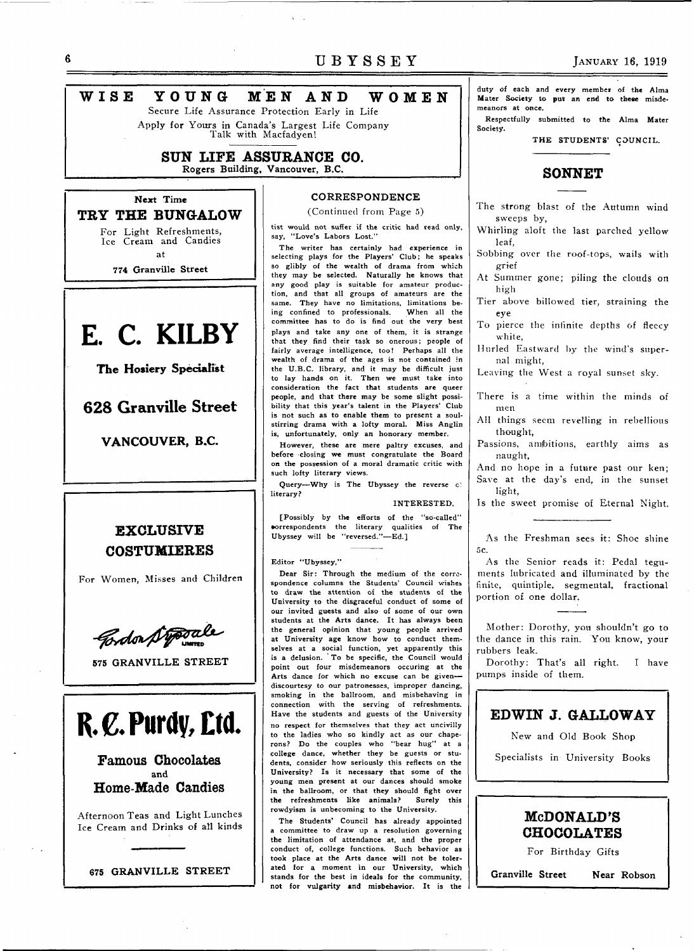# UBYSSEY JANUARY 16, 1919

# **WIS E YOUN G ME N AN D WOME N**

Secure Life Assurance Protection Early in Life Apply for Yours in Canada's Largest Life Company Talk with Macfadyen!

# **SUN LIFE ASSURANCE** CO. **Rogers Building, Vancouver, B.C.**

**Next Time TRY THE BUNGALOW**  For Light Refreshments,

Ice Cream and Candies at

**774 Granville Street** 



**The Hosiery Specialist** 

**6 2 8 Granville Street** 

**VANCOUVER, B.C.** 

# **EXCLUSIVE COSTUMIERES**

For Women, Misses and Children



**575 GRANVILLE STREET** 

**R.€.Purdy,£tO.** 

Famous Chocolates **and**  Home-Made Candies

Afternoon Teas and Light Lunches Ice Cream and Drinks of all kinds



## **CORRESPONDENCE**  (Continued from Page 5)

tist would not suffer if the critic had read only, say, "Love's Labors Lost."

The writer has certainly had experience in selecting plays for the Players' Club; he speaks so glibly of the wealth of drama from which they may be selected. Naturally he knows that any good play is suitable for amateur production, and that all groups of amateurs are the same. They have no limitations, limitations be-<br>ing confined to professionals. When all the ing confined to professionals. committee has to do is find out the very best plays and take any one of them, it is strange that they find their task so onerous; people of fairly average intelligence, too! Perhaps all the wealth of drama of the ages is not contained in the U.B.C. library, and it may be difficult just to lay hands on it. Then we must take into consideration the fact that students are queer people, and that there may be some slight possibility that this year's talent in the Players' Club is not such as to enable them to present a soulstirring drama with a lofty moral. Miss Anglin is, unfortunately, only an honorary member.

However, these are mere paltry excuses, and before closing we must congratulate the Board on the possession of a moral dramatic critic with such lofty literary views.

Query—Why is The Ubyssey the reverse c! literary?

### INTERESTED.

[Possibly by the efforts of the "so-called" •orrespondents the literary qualities of The Ubyssey will be "reversed."—Ed.]

Editor "Ubyssey,"

Dear Sir: Through the medium of the correspondence columns the Students' Council wishes. to draw the attention of the students of the University to the disgraceful conduct of some of our invited guests and also of some of our own students at the Arts dance. It has always been the general opinion that young people arrived at University age know how to conduct themselves at a social function, yet apparently this is a delusion. ' To be specific, the Council would point out four misdemeanors occuring at the Arts dance for which no excuse can be givendiscourtesy to our patronesses, improper dancing, smoking in the ballroom, and misbehaving in connection with the serving of refreshments. Have the students and guests of the University no respect for themselves that they act uncivilly to the ladies who so kindly act as our chaperons? Do the couples who "bear hug" at a college dance, whether they be guests or students, consider how seriously this reflects on the University? Is it necessary that some of the young men present at our dances should smoke in the ballroom, or that they should fight over the refreshments like animals? Surely this rowdyism is unbecoming to the University.

The Students' Council has already appointed committee to draw up a resolution governing the limitation of attendance at, and the proper conduct of, college functions. Such behavior as took place at the Arts dance will not be tolerated for a moment in our University, which stands for the best in ideals for the community, not for vulgarity and misbehavior. It is the duty of each and every member of the Alma Mater Society to put an end to these misdemeanors at once.

Respectfully submitted to the Alma Mater Society.

THE STUDENTS' COUNCIL.

# **SONNET**

The strong blast of the Autumn wind sweeps by,

Whirling aloft the last parched yellow leaf,

Sobbing over the roof-tops, wails with grief

At Summer gone; piling the clouds on high

Tier above billowed tier, straining the eye

To pierce the infinite depths of fleecy white,

Hurled Eastward by the wind's supernal might,

Leaving the West a royal sunset sky.

There is a time within the minds of men

All things seem revelling in rebellious thought,

Passions, ambitions, earthly aims as naught,

And no hope in a future past our ken; Save at the day's end, in the sunset light,

Is the sweet promise of Eternal Night.

As the Freshman sees it: Shoe shine 5c.

As the Senior reads it: Pedal teguments lubricated and illuminated by the finite, quintiple, segmental, fractional portion of one dollar.

Mother: Dorothy, you shouldn't go to the dance in this rain. You know, your rubbers leak.

Dorothy: That's all right. I have pumps inside of them.

# EDWIN **J. GALLOWAY**

New and Old Book Shop

Specialists in University Books



For Birthday Gifts

**Granville Street Near Robson**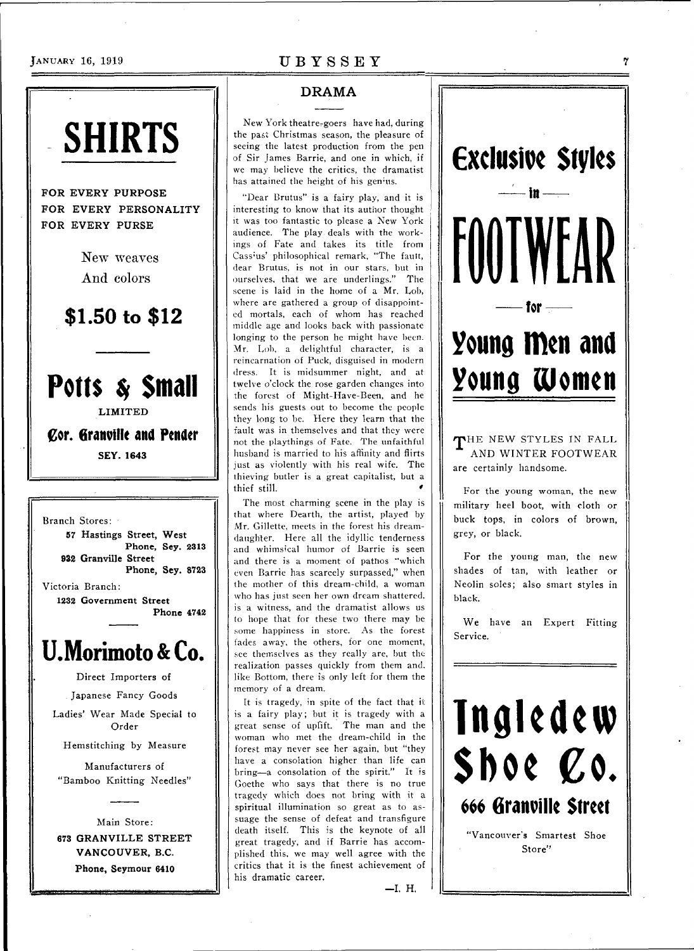# **JANUARY 16, 1919** UBYSSEY

# **SHIRTS**

FOR EVERY PURPOSE FOR EVERY PERSONALITY FOR EVERY PURSE

> New weaves And colors

**\$1.50 to \$12** 

# **Potts** *\$* **Small**

**LIMITED** 

**Cor. Granville and Pender SEY.164 3** 

Branch Stores: **57 Hastings Street, West Phone, Sey. 2313 932 Granville Street Phone, Sey. 8723**  Victoria Branch: **1232 Government Street Phone 4742** 

# **U.Morimoto&Co.**

Direct Importers of

Japanese Fancy Goods

Ladies' Wear Made Special to Order

Hemstitching by Measure

Manufacturers of "Bamboo Knitting Needles"

Main Store : **673 GRANVILLE STREET VANCOUVER, B.C. Phone, Seymour 6410** 

# DRAMA

New York theatre-goers have had, during the past Christmas season, the pleasure of seeing the latest production from the pen of Sir James Barrie, and one in which, if we may believe the critics, the dramatist has attained the height of his genius.

"Dear Brutus" is a fairy play, and it is interesting to know that its author thought it was too fantastic to please a New York audience. The play deals with the workings of Fate and takes its title from Cassius' philosophical remark, "The fault, dear Brutus, is not in our stars, but in ourselves, that we are underlings." The scene is laid in the home of a Mr. Lob, where are gathered a group of disappointed mortals, each of whom has reached middle age and looks back with passionate longing to the person he might have been. Mr. Lob, a delightful character, is a reincarnation of Puck, disguised in modern dress. It is midsummer night, and at twelve o'clock the rose garden changes into the forest of Might-Have-Been, and he sends his guests out to become the people they long to be. Here they learn that the fault was in themselves and that they were not the playthings of Fate. The unfaithful husband is married to his affinity and flirts just as violently with his real wife. The thieving butler is a great capitalist, but a thief still.

The most charming scene in the play is that where Dearth, the artist, played by Mr. Gillette, meets in the forest his dreamdaughter. Here all the idyllic tenderness and whimsical humor of Barrie is seen and there is a moment of pathos "which even Barrie has scarcely surpassed," when the mother of this dream-child, a woman who has just seen her own dream shattered, is a witness, and the dramatist allows us to hope that for these two there may be some happiness in store. As the forest fades away, the others, for one moment, see themselves as they really are, but the realization passes quickly from them and. like Bottom, there is only left for them the memory of a dream.

It is tragedy, in spite of the fact that it is a fairy play; but it is tragedy with a great sense of uplift. The man and the woman who met the dream-child in the forest may never see her again, but "they have a consolation higher than life can bring—a consolation of the spirit." It is Goethe who says that there is no true tragedy which does not bring with it a spiritual illumination so great as to assuage the sense of defeat and transfigure death itself. This is the keynote of all great tragedy, and if Barrie has accomplished this, we may well agree with the critics that it is the finest achievement of his dramatic career.

—I. H,



AND WINTER FOOTWEAR are certainly handsome.

For the young woman, the new military heel boot, with cloth or buck tops, in colors of brown, grey, or black.

For the young man, the new shades of tan, with leather or Neolin soles; also smart styles in black.

We have an Expert Fitting Service.



Store"

 $\gamma$